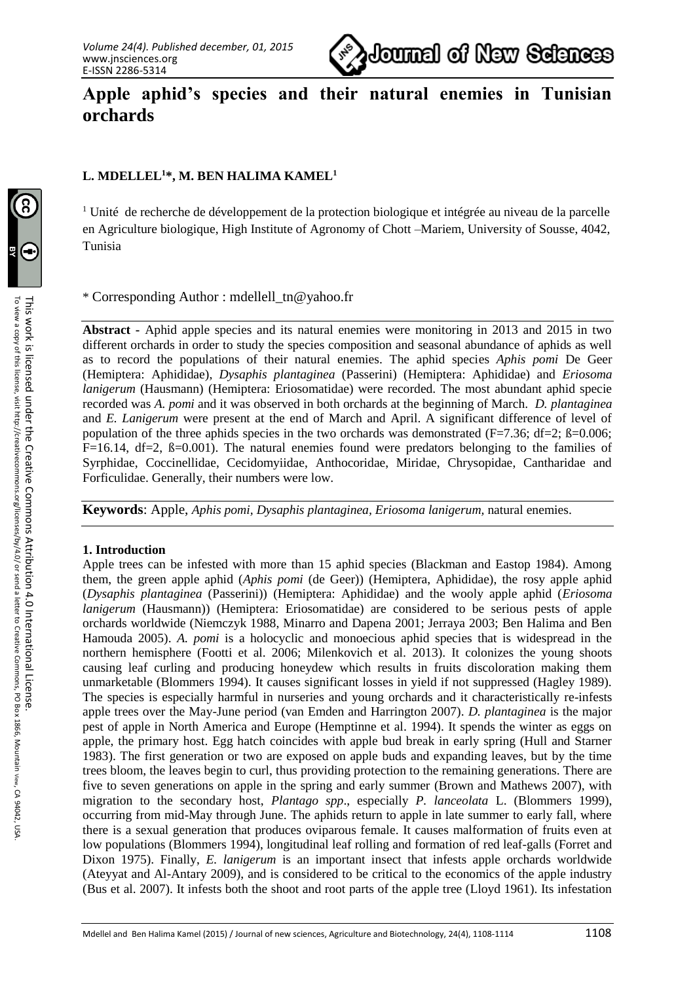

# **Apple aphid's species and their natural enemies in Tunisian orchards**

## **L. MDELLEL<sup>1</sup>\*, M. BEN HALIMA KAMEL<sup>1</sup>**

 $1$  Unité de recherche de développement de la protection biologique et intégrée au niveau de la parcelle en Agriculture biologique, High Institute of Agronomy of Chott –Mariem, University of Sousse, 4042, Tunisia

\* Corresponding Author : [mdellell\\_tn@yahoo.fr](mailto:mdellell_tn@yahoo.fr)

**Abstract -** Aphid apple species and its natural enemies were monitoring in 2013 and 2015 in two different orchards in order to study the species composition and seasonal abundance of aphids as well as to record the populations of their natural enemies. The aphid species *Aphis pomi* De Geer (Hemiptera: Aphididae), *Dysaphis plantaginea* (Passerini) (Hemiptera: Aphididae) and *Eriosoma lanigerum* (Hausmann) (Hemiptera: Eriosomatidae) were recorded. The most abundant aphid specie recorded was *A. pomi* and it was observed in both orchards at the beginning of March. *D. plantaginea*  and *E. Lanigerum* were present at the end of March and April. A significant difference of level of population of the three aphids species in the two orchards was demonstrated ( $F=7.36$ ;  $df=2$ ;  $\beta=0.006$ ;  $F=16.14$ ,  $df=2$ ,  $\beta=0.001$ ). The natural enemies found were predators belonging to the families of Syrphidae, Coccinellidae, Cecidomyiidae, Anthocoridae, Miridae, Chrysopidae, Cantharidae and Forficulidae. Generally, their numbers were low.

**Keywords**: Apple, *Aphis pomi, Dysaphis plantaginea, Eriosoma lanigerum,* natural enemies.

## **1. Introduction**

Apple trees can be infested with more than 15 aphid species (Blackman and Eastop 1984). Among them, the green apple aphid (*Aphis pomi* (de Geer)) (Hemiptera, Aphididae), the rosy apple aphid (*Dysaphis plantaginea* (Passerini)) (Hemiptera: Aphididae) and the wooly apple aphid (*Eriosoma lanigerum* (Hausmann)) (Hemiptera: Eriosomatidae) are considered to be serious pests of apple orchards worldwide (Niemczyk 1988, Minarro and Dapena 2001; Jerraya 2003; Ben Halima and Ben Hamouda 2005). *A. pomi* is a holocyclic and monoecious aphid species that is widespread in the northern hemisphere (Footti et al. 2006; Milenkovich et al*.* 2013). It colonizes the young shoots causing leaf curling and producing honeydew which results in fruits discoloration making them unmarketable (Blommers 1994). It causes significant losses in yield if not suppressed (Hagley 1989). The species is especially harmful in nurseries and young orchards and it characteristically re-infests apple trees over the May-June period (van Emden and Harrington 2007). *D. plantaginea* is the major pest of apple in North America and Europe (Hemptinne et al. 1994). It spends the winter as eggs on apple, the primary host. Egg hatch coincides with apple bud break in early spring (Hull and Starner 1983). The first generation or two are exposed on apple buds and expanding leaves, but by the time trees bloom, the leaves begin to curl, thus providing protection to the remaining generations. There are five to seven generations on apple in the spring and early summer (Brown and Mathews 2007), with migration to the secondary host, *Plantago spp*., especially *P. lanceolata* L. (Blommers 1999), occurring from mid-May through June. The aphids return to apple in late summer to early fall, where there is a sexual generation that produces oviparous female. It causes malformation of fruits even at low populations (Blommers 1994), longitudinal leaf rolling and formation of red leaf-galls (Forret and Dixon 1975). Finally, *E. lanigerum* is an important insect that infests apple orchards worldwide (Ateyyat and Al-Antary 2009), and is considered to be critical to the economics of the apple industry (Bus et al. 2007). It infests both the shoot and root parts of the apple tree (Lloyd 1961). Its infestation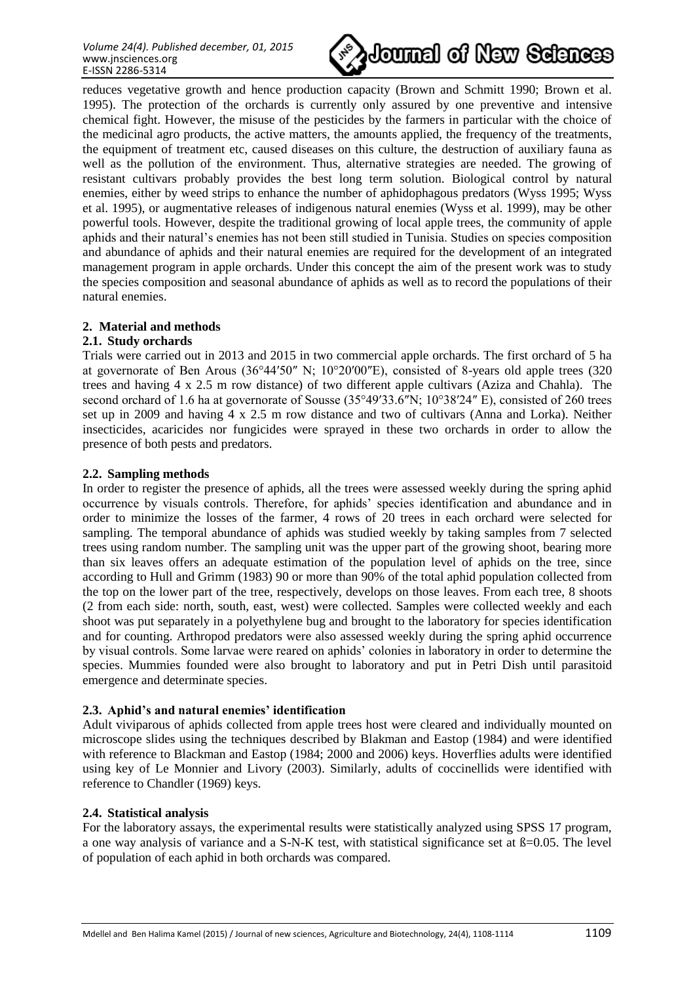

reduces vegetative growth and hence production capacity (Brown and Schmitt 1990; Brown et al. 1995). The protection of the orchards is currently only assured by one preventive and intensive chemical fight. However, the misuse of the pesticides by the farmers in particular with the choice of the medicinal agro products, the active matters, the amounts applied, the frequency of the treatments, the equipment of treatment etc, caused diseases on this culture, the destruction of auxiliary fauna as well as the pollution of the environment. Thus, alternative strategies are needed. The growing of resistant cultivars probably provides the best long term solution. Biological control by natural enemies, either by weed strips to enhance the number of aphidophagous predators (Wyss 1995; Wyss et al. 1995), or augmentative releases of indigenous natural enemies (Wyss et al. 1999), may be other powerful tools. However, despite the traditional growing of local apple trees, the community of apple aphids and their natural's enemies has not been still studied in Tunisia. Studies on species composition and abundance of aphids and their natural enemies are required for the development of an integrated management program in apple orchards. Under this concept the aim of the present work was to study the species composition and seasonal abundance of aphids as well as to record the populations of their natural enemies.

## **2. Material and methods**

### **2.1. Study orchards**

Trials were carried out in 2013 and 2015 in two commercial apple orchards. The first orchard of 5 ha at governorate of Ben Arous (36°44′50″ N; 10°20′00″E), consisted of 8-years old apple trees (320 trees and having 4 x 2.5 m row distance) of two different apple cultivars (Aziza and Chahla). The second orchard of 1.6 ha at governorate of Sousse (35°49′33.6″N; 10°38′24″ E), consisted of 260 trees set up in 2009 and having 4 x 2.5 m row distance and two of cultivars (Anna and Lorka). Neither insecticides, acaricides nor fungicides were sprayed in these two orchards in order to allow the presence of both pests and predators.

### **2.2. Sampling methods**

In order to register the presence of aphids, all the trees were assessed weekly during the spring aphid occurrence by visuals controls. Therefore, for aphids' species identification and abundance and in order to minimize the losses of the farmer, 4 rows of 20 trees in each orchard were selected for sampling. The temporal abundance of aphids was studied weekly by taking samples from 7 selected trees using random number. The sampling unit was the upper part of the growing shoot, bearing more than six leaves offers an adequate estimation of the population level of aphids on the tree, since according to Hull and Grimm (1983) 90 or more than 90% of the total aphid population collected from the top on the lower part of the tree, respectively, develops on those leaves. From each tree, 8 shoots (2 from each side: north, south, east, west) were collected. Samples were collected weekly and each shoot was put separately in a polyethylene bug and brought to the laboratory for species identification and for counting. Arthropod predators were also assessed weekly during the spring aphid occurrence by visual controls. Some larvae were reared on aphids' colonies in laboratory in order to determine the species. Mummies founded were also brought to laboratory and put in Petri Dish until parasitoid emergence and determinate species.

## **2.3. Aphid's and natural enemies' identification**

Adult viviparous of aphids collected from apple trees host were cleared and individually mounted on microscope slides using the techniques described by Blakman and Eastop (1984) and were identified with reference to Blackman and Eastop (1984; 2000 and 2006) keys. Hoverflies adults were identified using key of Le Monnier and Livory (2003). Similarly, adults of coccinellids were identified with reference to Chandler (1969) keys.

#### **2.4. Statistical analysis**

For the laboratory assays, the experimental results were statistically analyzed using SPSS 17 program, a one way analysis of variance and a S-N-K test, with statistical significance set at  $\beta$ =0.05. The level of population of each aphid in both orchards was compared.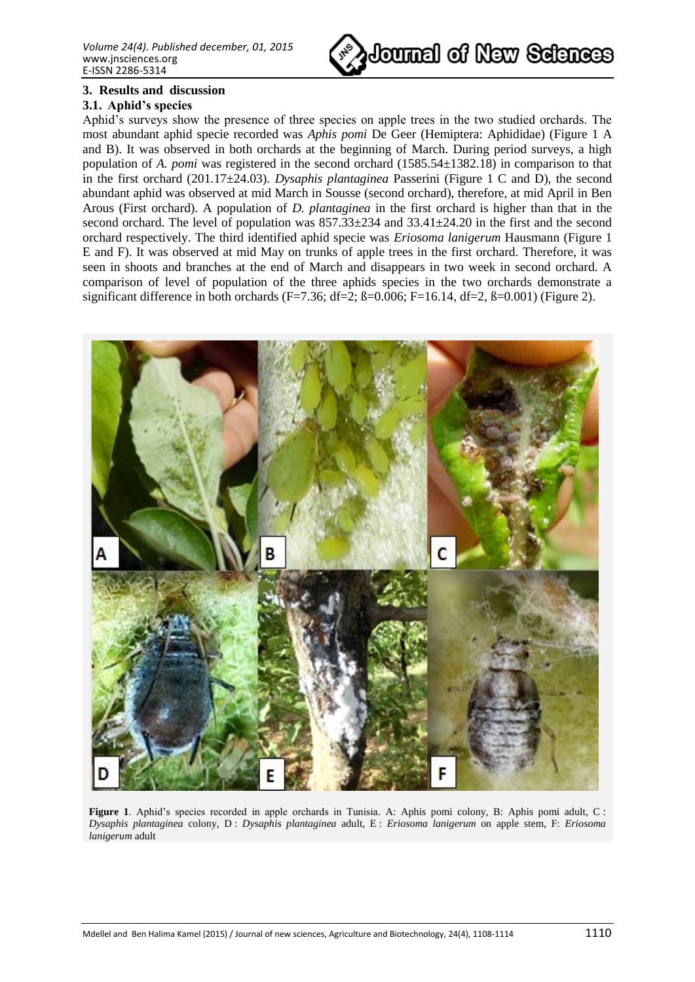

### **3. Results and discussion**

#### **3.1. Aphid's species**

Aphid's surveys show the presence of three species on apple trees in the two studied orchards. The most abundant aphid specie recorded was *Aphis pomi* De Geer (Hemiptera: Aphididae) (Figure 1 A and B). It was observed in both orchards at the beginning of March. During period surveys, a high population of *A. pomi* was registered in the second orchard (1585.54±1382.18) in comparison to that in the first orchard (201.17±24.03). *Dysaphis plantaginea* Passerini (Figure 1 C and D), the second abundant aphid was observed at mid March in Sousse (second orchard), therefore, at mid April in Ben Arous (First orchard). A population of *D. plantaginea* in the first orchard is higher than that in the second orchard. The level of population was  $857.33\pm 234$  and  $33.41\pm 24.20$  in the first and the second orchard respectively. The third identified aphid specie was *Eriosoma lanigerum* Hausmann (Figure 1 E and F). It was observed at mid May on trunks of apple trees in the first orchard. Therefore, it was seen in shoots and branches at the end of March and disappears in two week in second orchard. A comparison of level of population of the three aphids species in the two orchards demonstrate a significant difference in both orchards (F=7.36; df=2; ß=0.006; F=16.14, df=2, ß=0.001) (Figure 2).



**Figure 1**. Aphid's species recorded in apple orchards in Tunisia. A: Aphis pomi colony, B: Aphis pomi adult, C: *Dysaphis plantaginea* colony, D : *Dysaphis plantaginea* adult, E : *Eriosoma lanigerum* on apple stem, F: *Eriosoma lanigerum* adult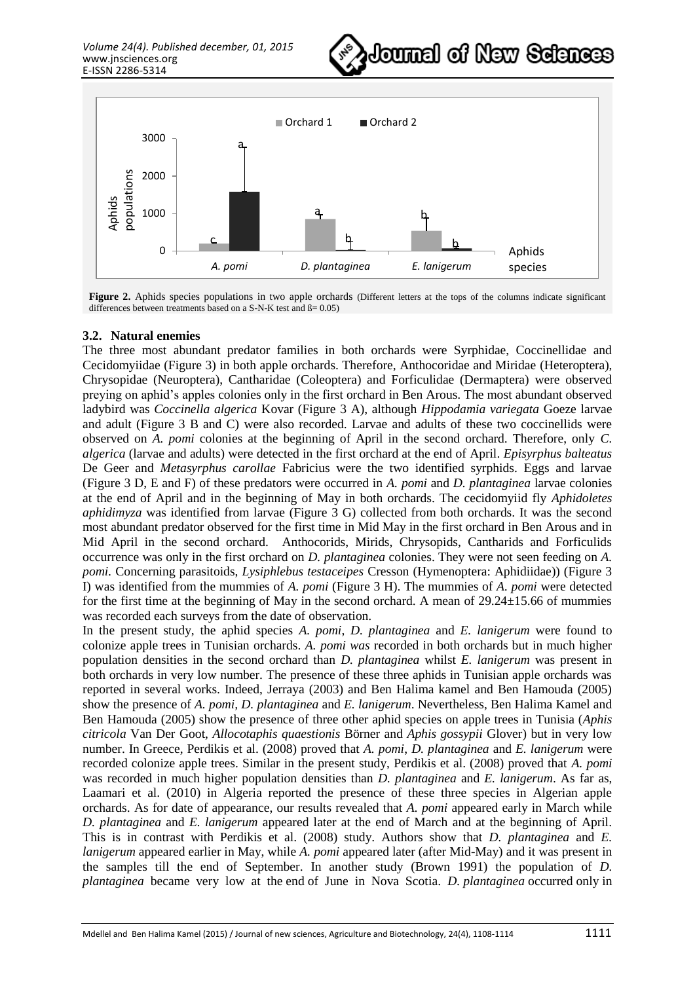



**Figure 2.** Aphids species populations in two apple orchards (Different letters at the tops of the columns indicate significant differences between treatments based on a S-N-K test and  $\beta$  = 0.05)

#### **3.2. Natural enemies**

The three most abundant predator families in both orchards were Syrphidae, Coccinellidae and Cecidomyiidae (Figure 3) in both apple orchards. Therefore, Anthocoridae and Miridae (Heteroptera), Chrysopidae (Neuroptera), Cantharidae (Coleoptera) and Forficulidae (Dermaptera) were observed preying on aphid's apples colonies only in the first orchard in Ben Arous. The most abundant observed ladybird was *Coccinella algerica* Kovar (Figure 3 A), although *Hippodamia variegata* Goeze larvae and adult (Figure 3 B and C) were also recorded. Larvae and adults of these two coccinellids were observed on *A. pomi* colonies at the beginning of April in the second orchard. Therefore, only *C. algerica* (larvae and adults) were detected in the first orchard at the end of April. *Episyrphus balteatus* De Geer and *Metasyrphus carollae* Fabricius were the two identified syrphids. Eggs and larvae (Figure 3 D, E and F) of these predators were occurred in *A. pomi* and *D. plantaginea* larvae colonies at the end of April and in the beginning of May in both orchards. The cecidomyiid fly *Aphidoletes aphidimyza* was identified from larvae (Figure 3 G) collected from both orchards. It was the second most abundant predator observed for the first time in Mid May in the first orchard in Ben Arous and in Mid April in the second orchard. Anthocorids, Mirids, Chrysopids, Cantharids and Forficulids occurrence was only in the first orchard on *D. plantaginea* colonies. They were not seen feeding on *A. pomi.* Concerning parasitoids, *Lysiphlebus testaceipes* Cresson (Hymenoptera: Aphidiidae)) (Figure 3 I) was identified from the mummies of *A. pomi* (Figure 3 H). The mummies of *A. pomi* were detected for the first time at the beginning of May in the second orchard. A mean of 29.24±15.66 of mummies was recorded each surveys from the date of observation.

In the present study, the aphid species *A. pomi*, *D. plantaginea* and *E. lanigerum* were found to colonize apple trees in Tunisian orchards. *A. pomi was* recorded in both orchards but in much higher population densities in the second orchard than *D. plantaginea* whilst *E. lanigerum* was present in both orchards in very low number. The presence of these three aphids in Tunisian apple orchards was reported in several works. Indeed, Jerraya (2003) and Ben Halima kamel and Ben Hamouda (2005) show the presence of *A. pomi, D. plantaginea* and *E. lanigerum*. Nevertheless, Ben Halima Kamel and Ben Hamouda (2005) show the presence of three other aphid species on apple trees in Tunisia (*Aphis citricola* Van Der Goot, *Allocotaphis quaestionis* Börner and *Aphis gossypii* Glover) but in very low number. In Greece, Perdikis et al. (2008) proved that *A. pomi*, *D. plantaginea* and *E. lanigerum* were recorded colonize apple trees. Similar in the present study, Perdikis et al. (2008) proved that *A. pomi*  was recorded in much higher population densities than *D. plantaginea* and *E. lanigerum*. As far as, Laamari et al. (2010) in Algeria reported the presence of these three species in Algerian apple orchards. As for date of appearance, our results revealed that *A. pomi* appeared early in March while *D. plantaginea* and *E. lanigerum* appeared later at the end of March and at the beginning of April. This is in contrast with Perdikis et al. (2008) study. Authors show that *D. plantaginea* and *E. lanigerum* appeared earlier in May, while *A. pomi* appeared later (after Mid-May) and it was present in the samples till the end of September. In another study (Brown 1991) the population of *D. plantaginea* became very low at the end of June in Nova Scotia. *D. plantaginea* occurred only in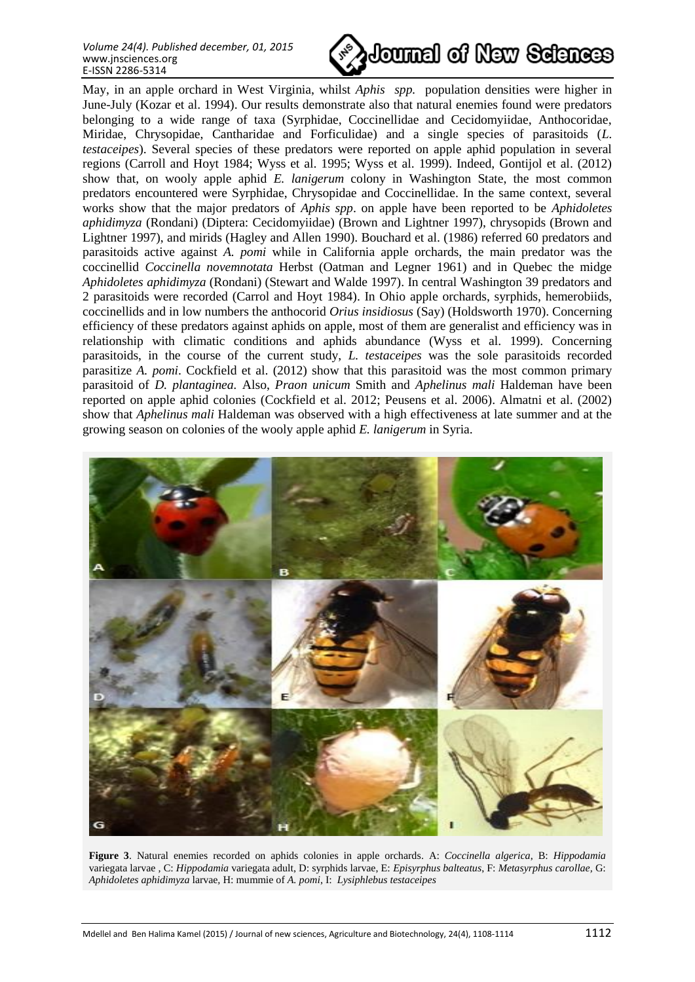*Volume 24(4). Published december, 01, 2015* www.jnsciences.org E-ISSN 2286-5314



May, in an apple orchard in West Virginia, whilst *Aphis spp.* population densities were higher in June-July (Kozar et al. 1994). Our results demonstrate also that natural enemies found were predators belonging to a wide range of taxa (Syrphidae, Coccinellidae and Cecidomyiidae, Anthocoridae, Miridae, Chrysopidae, Cantharidae and Forficulidae) and a single species of parasitoids (*L. testaceipes*). Several species of these predators were reported on apple aphid population in several regions (Carroll and Hoyt 1984; Wyss et al. 1995; Wyss et al. 1999). Indeed, Gontijol et al. (2012) show that, on wooly apple aphid *E. lanigerum* colony in Washington State, the most common predators encountered were Syrphidae, Chrysopidae and Coccinellidae. In the same context, several works show that the major predators of *Aphis spp*. on apple have been reported to be *Aphidoletes aphidimyza* (Rondani) (Diptera: Cecidomyiidae) (Brown and Lightner 1997), chrysopids (Brown and Lightner 1997), and mirids (Hagley and Allen 1990). Bouchard et al. (1986) referred 60 predators and parasitoids active against *A. pomi* while in California apple orchards, the main predator was the coccinellid *Coccinella novemnotata* Herbst (Oatman and Legner 1961) and in Quebec the midge *Aphidoletes aphidimyza* (Rondani) (Stewart and Walde 1997). In central Washington 39 predators and 2 parasitoids were recorded (Carrol and Hoyt 1984). In Ohio apple orchards, syrphids, hemerobiids, coccinellids and in low numbers the anthocorid *Orius insidiosus* (Say) (Holdsworth 1970). Concerning efficiency of these predators against aphids on apple, most of them are generalist and efficiency was in relationship with climatic conditions and aphids abundance (Wyss et al. 1999). Concerning parasitoids, in the course of the current study, *L. testaceipes* was the sole parasitoids recorded parasitize *A. pomi*. Cockfield et al. (2012) show that this parasitoid was the most common primary parasitoid of *D. plantaginea.* Also, *Praon unicum* Smith and *Aphelinus mali* Haldeman have been reported on apple aphid colonies (Cockfield et al. 2012; Peusens et al. 2006). Almatni et al. (2002) show that *Aphelinus mali* Haldeman was observed with a high effectiveness at late summer and at the growing season on colonies of the wooly apple aphid *E. lanigerum* in Syria.



**Figure 3**. Natural enemies recorded on aphids colonies in apple orchards. A: *Coccinella algerica*, B: *Hippodamia*  variegata larvae *,* C: *Hippodamia* variegata adult, D: syrphids larvae, E: *Episyrphus balteatus*, F: *Metasyrphus carollae,* G: *Aphidoletes aphidimyza* larvae*,* H: mummie of *A. pomi*, I: *Lysiphlebus testaceipes*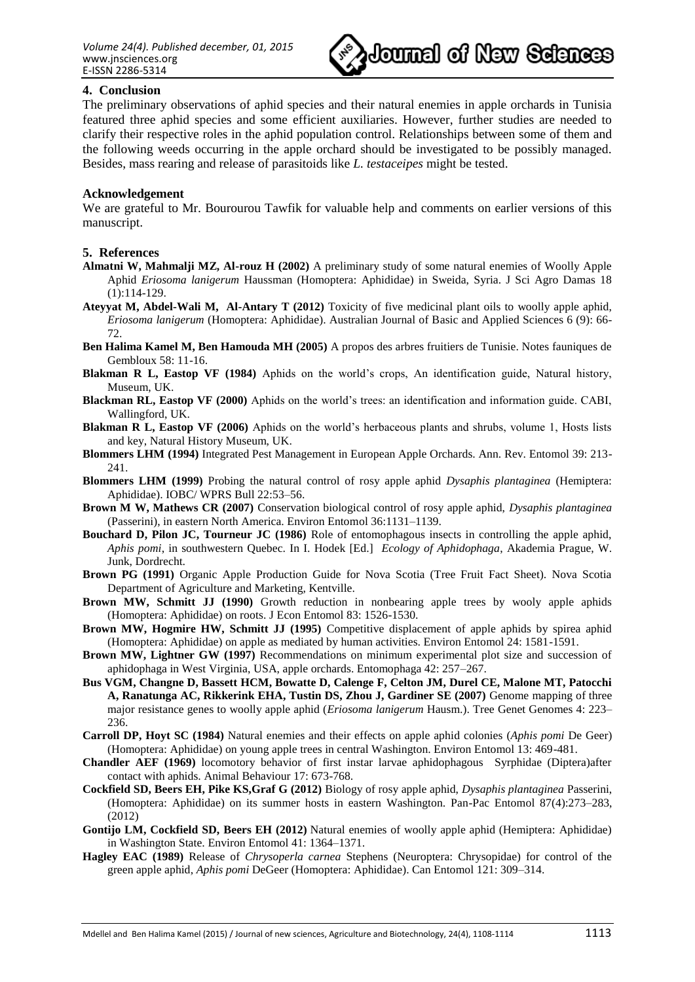

### **4. Conclusion**

The preliminary observations of aphid species and their natural enemies in apple orchards in Tunisia featured three aphid species and some efficient auxiliaries. However, further studies are needed to clarify their respective roles in the aphid population control. Relationships between some of them and the following weeds occurring in the apple orchard should be investigated to be possibly managed. Besides, mass rearing and release of parasitoids like *L. testaceipes* might be tested.

#### **Acknowledgement**

We are grateful to Mr. Bourourou Tawfik for valuable help and comments on earlier versions of this manuscript.

#### **5. References**

- **Almatni W, Mahmalji MZ, Al-rouz H (2002)** A preliminary study of some natural enemies of Woolly Apple Aphid *Eriosoma lanigerum* Haussman (Homoptera: Aphididae) in Sweida, Syria. J Sci Agro Damas 18 (1):114-129.
- **Ateyyat M, Abdel-Wali M, Al-Antary T (2012)** Toxicity of five medicinal plant oils to woolly apple aphid, *Eriosoma lanigerum* (Homoptera: Aphididae). Australian Journal of Basic and Applied Sciences 6 (9): 66- 72.
- **Ben Halima Kamel M, Ben Hamouda MH (2005)** A propos des arbres fruitiers de Tunisie. Notes fauniques de Gembloux 58: 11-16.
- **Blakman R L, Eastop VF (1984)** Aphids on the world's crops, An identification guide, Natural history, Museum, UK.
- **Blackman RL, Eastop VF (2000)** Aphids on the world's trees: an identification and information guide. CABI, Wallingford, UK.
- **Blakman R L, Eastop VF (2006)** Aphids on the world's herbaceous plants and shrubs, volume 1, Hosts lists and key, Natural History Museum, UK.
- **Blommers LHM (1994)** Integrated Pest Management in European Apple Orchards. Ann. Rev. Entomol 39: 213- 241.
- **Blommers LHM (1999)** Probing the natural control of rosy apple aphid *Dysaphis plantaginea* (Hemiptera: Aphididae). IOBC/ WPRS Bull 22:53–56.
- **Brown M W, Mathews CR (2007)** Conservation biological control of rosy apple aphid, *Dysaphis plantaginea* (Passerini), in eastern North America. Environ Entomol 36:1131–1139.
- **Bouchard D, Pilon JC, Tourneur JC (1986)** Role of entomophagous insects in controlling the apple aphid, *Aphis pomi*, in southwestern Quebec. In I. Hodek [Ed.] *Ecology of Aphidophaga*, Akademia Prague, W. Junk, Dordrecht.
- **Brown PG (1991)** Organic Apple Production Guide for Nova Scotia (Tree Fruit Fact Sheet). Nova Scotia Department of Agriculture and Marketing, Kentville.
- **Brown MW, Schmitt JJ (1990)** Growth reduction in nonbearing apple trees by wooly apple aphids (Homoptera: Aphididae) on roots. J Econ Entomol 83: 1526-1530.
- **Brown MW, Hogmire HW, Schmitt JJ (1995)** Competitive displacement of apple aphids by spirea aphid (Homoptera: Aphididae) on apple as mediated by human activities. Environ Entomol 24: 1581-1591.
- **Brown MW, Lightner GW (1997)** Recommendations on minimum experimental plot size and succession of aphidophaga in West Virginia, USA, apple orchards. Entomophaga 42: 257–267.
- **Bus VGM, Changne D, Bassett HCM, Bowatte D, Calenge F, Celton JM, Durel CE, Malone MT, Patocchi A, Ranatunga AC, Rikkerink EHA, Tustin DS, Zhou J, Gardiner SE (2007)** Genome mapping of three major resistance genes to woolly apple aphid (*Eriosoma lanigerum* Hausm.). Tree Genet Genomes 4: 223– 236.
- **Carroll DP, Hoyt SC (1984)** Natural enemies and their effects on apple aphid colonies (*Aphis pomi* De Geer) (Homoptera: Aphididae) on young apple trees in central Washington. Environ Entomol 13: 469-481.
- **Chandler AEF (1969)** locomotory behavior of first instar larvae aphidophagous Syrphidae (Diptera)after contact with aphids. Animal Behaviour 17: 673-768.
- **Cockfield SD, Beers EH, Pike KS,Graf G (2012)** Biology of rosy apple aphid, *Dysaphis plantaginea* Passerini, (Homoptera: Aphididae) on its summer hosts in eastern Washington. Pan-Pac Entomol 87(4):273–283, (2012)
- **Gontijo LM, Cockfield SD, Beers EH (2012)** Natural enemies of woolly apple aphid (Hemiptera: Aphididae) in Washington State. Environ Entomol 41: 1364–1371.
- **Hagley EAC (1989)** Release of *Chrysoperla carnea* Stephens (Neuroptera: Chrysopidae) for control of the green apple aphid, *Aphis pomi* DeGeer (Homoptera: Aphididae). Can Entomol 121: 309–314.